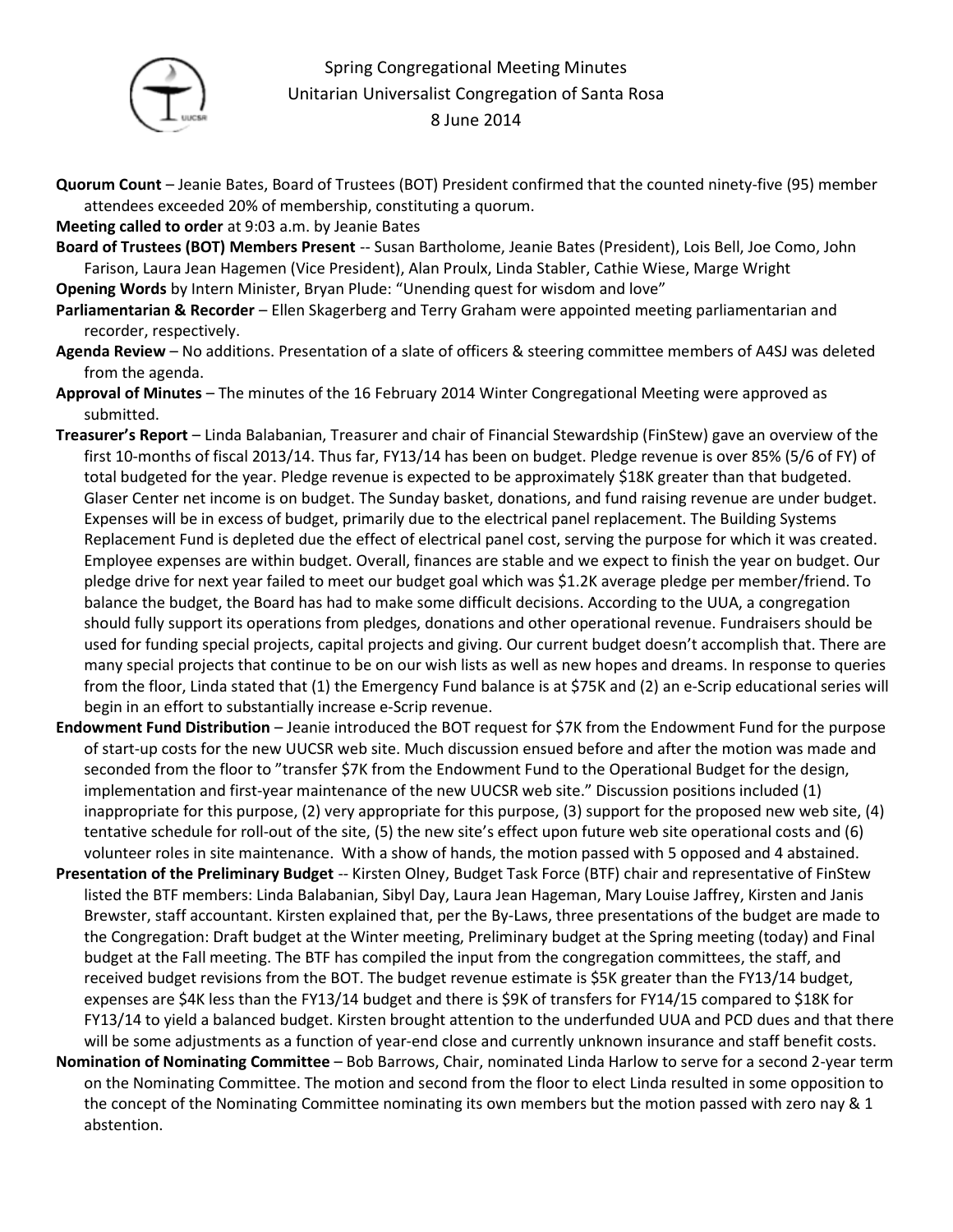

## Spring Congregational Meeting Minutes Unitarian Universalist Congregation of Santa Rosa 8 June 2014

- **Quorum Count** Jeanie Bates, Board of Trustees (BOT) President confirmed that the counted ninety-five (95) member attendees exceeded 20% of membership, constituting a quorum.
- **Meeting called to order** at 9:03 a.m. by Jeanie Bates
- **Board of Trustees (BOT) Members Present** -- Susan Bartholome, Jeanie Bates (President), Lois Bell, Joe Como, John Farison, Laura Jean Hagemen (Vice President), Alan Proulx, Linda Stabler, Cathie Wiese, Marge Wright
- **Opening Words** by Intern Minister, Bryan Plude: "Unending quest for wisdom and love"
- **Parliamentarian & Recorder**  Ellen Skagerberg and Terry Graham were appointed meeting parliamentarian and recorder, respectively.
- **Agenda Review** No additions. Presentation of a slate of officers & steering committee members of A4SJ was deleted from the agenda.
- **Approval of Minutes** The minutes of the 16 February 2014 Winter Congregational Meeting were approved as submitted.
- **Treasurer's Report** Linda Balabanian, Treasurer and chair of Financial Stewardship (FinStew) gave an overview of the first 10-months of fiscal 2013/14. Thus far, FY13/14 has been on budget. Pledge revenue is over 85% (5/6 of FY) of total budgeted for the year. Pledge revenue is expected to be approximately \$18K greater than that budgeted. Glaser Center net income is on budget. The Sunday basket, donations, and fund raising revenue are under budget. Expenses will be in excess of budget, primarily due to the electrical panel replacement. The Building Systems Replacement Fund is depleted due the effect of electrical panel cost, serving the purpose for which it was created. Employee expenses are within budget. Overall, finances are stable and we expect to finish the year on budget. Our pledge drive for next year failed to meet our budget goal which was \$1.2K average pledge per member/friend. To balance the budget, the Board has had to make some difficult decisions. According to the UUA, a congregation should fully support its operations from pledges, donations and other operational revenue. Fundraisers should be used for funding special projects, capital projects and giving. Our current budget doesn't accomplish that. There are many special projects that continue to be on our wish lists as well as new hopes and dreams. In response to queries from the floor, Linda stated that (1) the Emergency Fund balance is at \$75K and (2) an e-Scrip educational series will begin in an effort to substantially increase e-Scrip revenue.
- **Endowment Fund Distribution** Jeanie introduced the BOT request for \$7K from the Endowment Fund for the purpose of start-up costs for the new UUCSR web site. Much discussion ensued before and after the motion was made and seconded from the floor to "transfer \$7K from the Endowment Fund to the Operational Budget for the design, implementation and first-year maintenance of the new UUCSR web site." Discussion positions included (1) inappropriate for this purpose, (2) very appropriate for this purpose, (3) support for the proposed new web site, (4) tentative schedule for roll-out of the site, (5) the new site's effect upon future web site operational costs and (6) volunteer roles in site maintenance. With a show of hands, the motion passed with 5 opposed and 4 abstained.
- **Presentation of the Preliminary Budget** -- Kirsten Olney, Budget Task Force (BTF) chair and representative of FinStew listed the BTF members: Linda Balabanian, Sibyl Day, Laura Jean Hageman, Mary Louise Jaffrey, Kirsten and Janis Brewster, staff accountant. Kirsten explained that, per the By-Laws, three presentations of the budget are made to the Congregation: Draft budget at the Winter meeting, Preliminary budget at the Spring meeting (today) and Final budget at the Fall meeting. The BTF has compiled the input from the congregation committees, the staff, and received budget revisions from the BOT. The budget revenue estimate is \$5K greater than the FY13/14 budget, expenses are \$4K less than the FY13/14 budget and there is \$9K of transfers for FY14/15 compared to \$18K for FY13/14 to yield a balanced budget. Kirsten brought attention to the underfunded UUA and PCD dues and that there will be some adjustments as a function of year-end close and currently unknown insurance and staff benefit costs.
- **Nomination of Nominating Committee** Bob Barrows, Chair, nominated Linda Harlow to serve for a second 2-year term on the Nominating Committee. The motion and second from the floor to elect Linda resulted in some opposition to the concept of the Nominating Committee nominating its own members but the motion passed with zero nay & 1 abstention.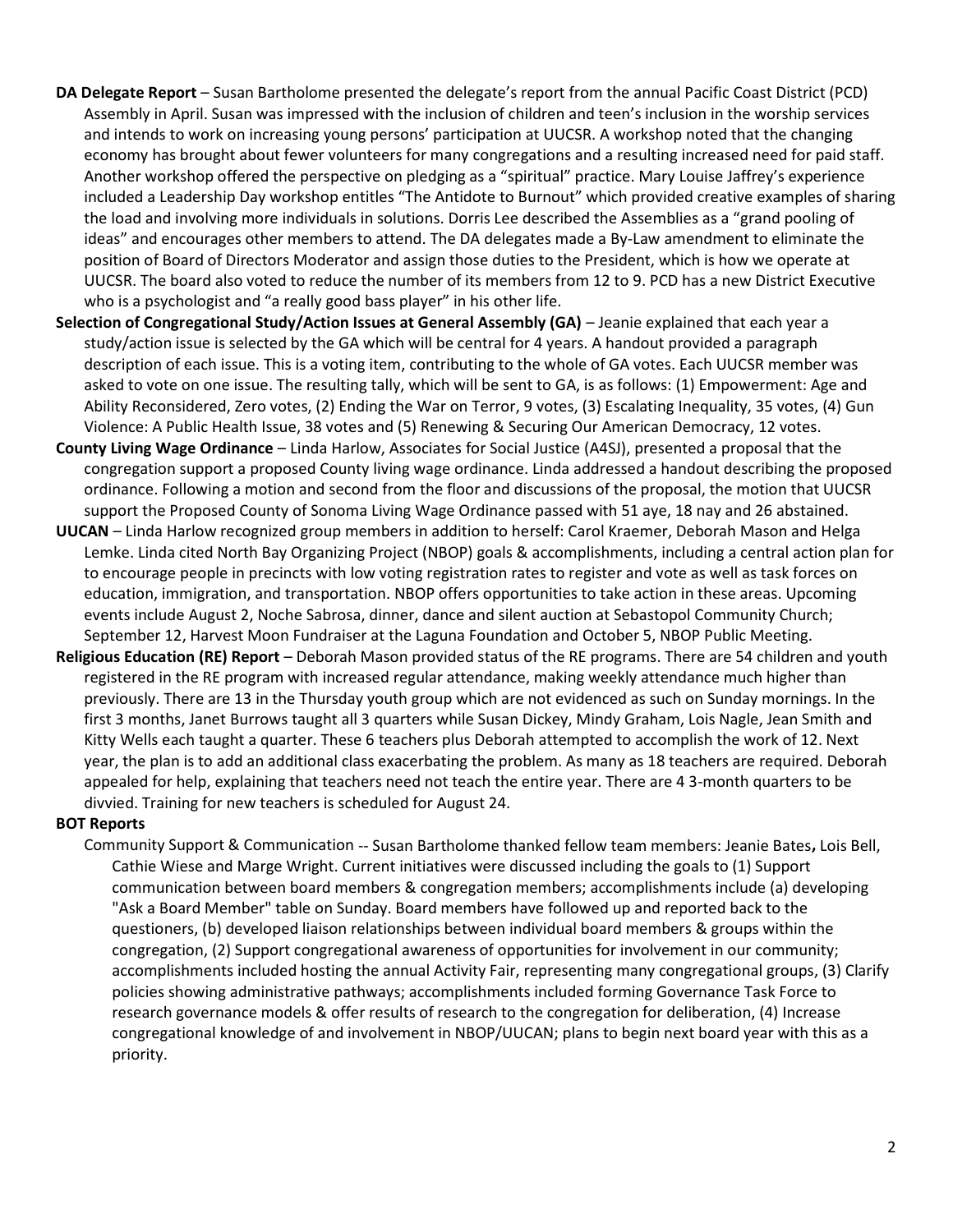- **DA Delegate Report** Susan Bartholome presented the delegate's report from the annual Pacific Coast District (PCD) Assembly in April. Susan was impressed with the inclusion of children and teen's inclusion in the worship services and intends to work on increasing young persons' participation at UUCSR. A workshop noted that the changing economy has brought about fewer volunteers for many congregations and a resulting increased need for paid staff. Another workshop offered the perspective on pledging as a "spiritual" practice. Mary Louise Jaffrey's experience included a Leadership Day workshop entitles "The Antidote to Burnout" which provided creative examples of sharing the load and involving more individuals in solutions. Dorris Lee described the Assemblies as a "grand pooling of ideas" and encourages other members to attend. The DA delegates made a By-Law amendment to eliminate the position of Board of Directors Moderator and assign those duties to the President, which is how we operate at UUCSR. The board also voted to reduce the number of its members from 12 to 9. PCD has a new District Executive who is a psychologist and "a really good bass player" in his other life.
- **Selection of Congregational Study/Action Issues at General Assembly (GA)** Jeanie explained that each year a study/action issue is selected by the GA which will be central for 4 years. A handout provided a paragraph description of each issue. This is a voting item, contributing to the whole of GA votes. Each UUCSR member was asked to vote on one issue. The resulting tally, which will be sent to GA, is as follows: (1) Empowerment: Age and Ability Reconsidered, Zero votes, (2) Ending the War on Terror, 9 votes, (3) Escalating Inequality, 35 votes, (4) Gun Violence: A Public Health Issue, 38 votes and (5) Renewing & Securing Our American Democracy, 12 votes.
- **County Living Wage Ordinance** Linda Harlow, Associates for Social Justice (A4SJ), presented a proposal that the congregation support a proposed County living wage ordinance. Linda addressed a handout describing the proposed ordinance. Following a motion and second from the floor and discussions of the proposal, the motion that UUCSR support the Proposed County of Sonoma Living Wage Ordinance passed with 51 aye, 18 nay and 26 abstained.
- **UUCAN** Linda Harlow recognized group members in addition to herself: Carol Kraemer, Deborah Mason and Helga Lemke. Linda cited North Bay Organizing Project (NBOP) goals & accomplishments, including a central action plan for to encourage people in precincts with low voting registration rates to register and vote as well as task forces on education, immigration, and transportation. NBOP offers opportunities to take action in these areas. Upcoming events include August 2, Noche Sabrosa, dinner, dance and silent auction at Sebastopol Community Church; September 12, Harvest Moon Fundraiser at the Laguna Foundation and October 5, NBOP Public Meeting.
- **Religious Education (RE) Report** Deborah Mason provided status of the RE programs. There are 54 children and youth registered in the RE program with increased regular attendance, making weekly attendance much higher than previously. There are 13 in the Thursday youth group which are not evidenced as such on Sunday mornings. In the first 3 months, Janet Burrows taught all 3 quarters while Susan Dickey, Mindy Graham, Lois Nagle, Jean Smith and Kitty Wells each taught a quarter. These 6 teachers plus Deborah attempted to accomplish the work of 12. Next year, the plan is to add an additional class exacerbating the problem. As many as 18 teachers are required. Deborah appealed for help, explaining that teachers need not teach the entire year. There are 4 3-month quarters to be divvied. Training for new teachers is scheduled for August 24.

## **BOT Reports**

Community Support & Communication -- Susan Bartholome thanked fellow team members: Jeanie Bates**,** Lois Bell, Cathie Wiese and Marge Wright. Current initiatives were discussed including the goals to (1) Support communication between board members & congregation members; accomplishments include (a) developing "Ask a Board Member" table on Sunday. Board members have followed up and reported back to the questioners, (b) developed liaison relationships between individual board members & groups within the congregation, (2) Support congregational awareness of opportunities for involvement in our community; accomplishments included hosting the annual Activity Fair, representing many congregational groups, (3) Clarify policies showing administrative pathways; accomplishments included forming Governance Task Force to research governance models & offer results of research to the congregation for deliberation, (4) Increase congregational knowledge of and involvement in NBOP/UUCAN; plans to begin next board year with this as a priority.